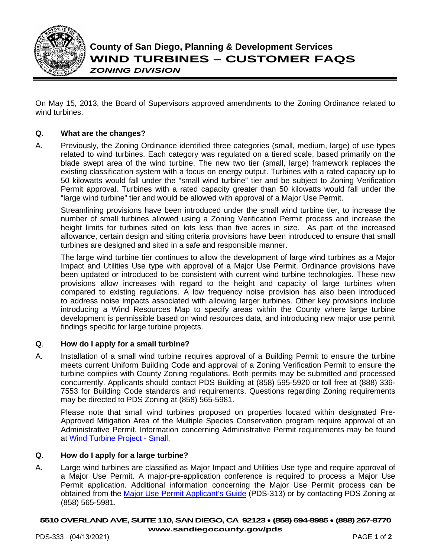

On May 15, 2013, the Board of Supervisors approved amendments to the Zoning Ordinance related to wind turbines.

# **Q. What are the changes?**

A. Previously, the Zoning Ordinance identified three categories (small, medium, large) of use types related to wind turbines. Each category was regulated on a tiered scale, based primarily on the blade swept area of the wind turbine. The new two tier (small, large) framework replaces the existing classification system with a focus on energy output. Turbines with a rated capacity up to 50 kilowatts would fall under the "small wind turbine" tier and be subject to Zoning Verification Permit approval. Turbines with a rated capacity greater than 50 kilowatts would fall under the "large wind turbine" tier and would be allowed with approval of a Major Use Permit.

Streamlining provisions have been introduced under the small wind turbine tier, to increase the number of small turbines allowed using a Zoning Verification Permit process and increase the height limits for turbines sited on lots less than five acres in size. As part of the increased allowance, certain design and siting criteria provisions have been introduced to ensure that small turbines are designed and sited in a safe and responsible manner.

The large wind turbine tier continues to allow the development of large wind turbines as a Major Impact and Utilities Use type with approval of a Major Use Permit. Ordinance provisions have been updated or introduced to be consistent with current wind turbine technologies. These new provisions allow increases with regard to the height and capacity of large turbines when compared to existing regulations. A low frequency noise provision has also been introduced to address noise impacts associated with allowing larger turbines. Other key provisions include introducing a Wind Resources Map to specify areas within the County where large turbine development is permissible based on wind resources data, and introducing new major use permit findings specific for large turbine projects.

## **Q**. **How do I apply for a small turbine?**

A. Installation of a small wind turbine requires approval of a Building Permit to ensure the turbine meets current Uniform Building Code and approval of a Zoning Verification Permit to ensure the turbine complies with County Zoning regulations. Both permits may be submitted and processed concurrently. Applicants should contact PDS Building at (858) 595-5920 or toll free at (888) 336- 7553 for Building Code standards and requirements. Questions regarding Zoning requirements may be directed to PDS Zoning at (858) 565-5981.

Please note that small wind turbines proposed on properties located within designated Pre-Approved Mitigation Area of the Multiple Species Conservation program require approval of an Administrative Permit. Information concerning Administrative Permit requirements may be found at [Wind Turbine Project - Small.](http://www.sdcounty.ca.gov/pds/zoning/formfields/PDS-PLN-ESUB_AD_Wind_Turbine_Project_Small.pdf)

## **Q. How do I apply for a large turbine?**

A. Large wind turbines are classified as Major Impact and Utilities Use type and require approval of a Major Use Permit. A major-pre-application conference is required to process a Major Use Permit application. Additional information concerning the Major Use Permit process can be obtained from the [Major Use Permit Applicant's Guide](https://www.sandiegocounty.gov/content/dam/sdc/pds/zoning/formfields/PDS-PLN-313.pdf) (PDS-313) or by contacting PDS Zoning at (858) 565-5981.

#### **5510 OVERLAND AVE, SUITE 110, SAN DIEGO, CA 92123** ● **(858) 694-8985** ● **(888) 267-8770 [www.sandiegocounty.gov/pds](http://www.sandiegocounty.gov/pds)**